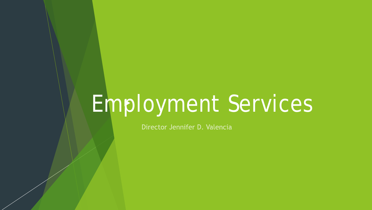### Employment Services

Director Jennifer D. Valencia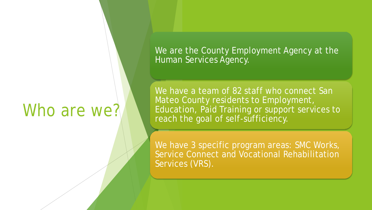#### Who are we?

We are the County Employment Agency at the Human Services Agency.

We have a team of 82 staff who connect San Mateo County residents to Employment, Education, Paid Training or support services to reach the goal of self-sufficiency.

We have 3 specific program areas: SMC Works, Service Connect and Vocational Rehabilitation Services (VRS).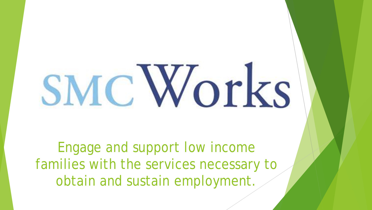# SMC Works

Engage and support low income families with the services necessary to obtain and sustain employment.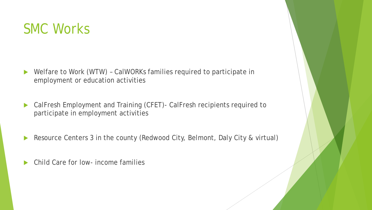

- ▶ Welfare to Work (WTW) CalWORKs families required to participate in employment or education activities
- CalFresh Employment and Training (CFET)- CalFresh recipients required to participate in employment activities
- Resource Centers 3 in the county (Redwood City, Belmont, Daly City & virtual)
- Child Care for low- income families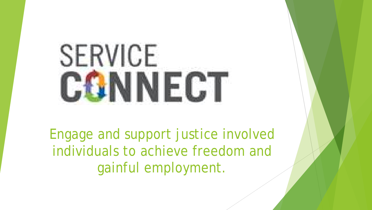## SERVICE **CGNNECT**

Engage and support justice involved individuals to achieve freedom and gainful employment.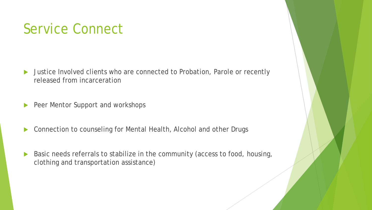#### Service Connect

- ▶ Justice Involved clients who are connected to Probation, Parole or recently released from incarceration
- Peer Mentor Support and workshops
- ▶ Connection to counseling for Mental Health, Alcohol and other Drugs
- Basic needs referrals to stabilize in the community (access to food, housing, clothing and transportation assistance)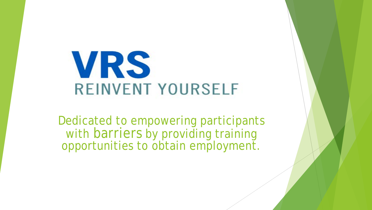

Dedicated to empowering participants with barriers by providing training opportunities to obtain employment.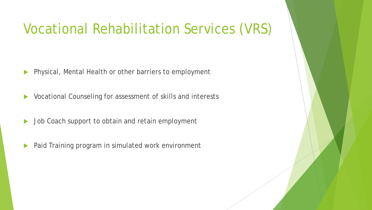#### Vocational Rehabilitation Services (VRS)

- **Physical, Mental Health or other barriers to employment**
- ▶ Vocational Counseling for assessment of skills and interests
- Dob Coach support to obtain and retain employment
- **Paid Training program in simulated work environment**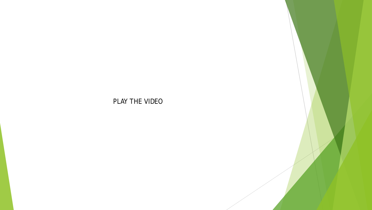#### PLAY THE VIDEO